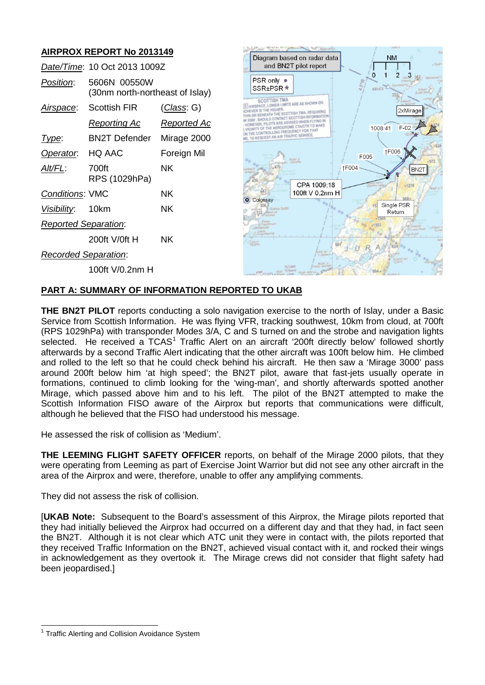# **AIRPROX REPORT No 2013149**

|                             | Date/Time: 10 Oct 2013 1009Z                    |                    |
|-----------------------------|-------------------------------------------------|--------------------|
| Position:                   | 5606N 00550W<br>(30nm north-northeast of Islay) |                    |
| <u>Airspace:</u>            | Scottish FIR                                    | <u>(Class</u> : G) |
|                             | <u>Reporting Ac</u>                             | <u>Reported Ac</u> |
| Type:                       | BN2T Defender Mirage 2000                       |                    |
| Operator. HQ AAC            |                                                 | Foreign Mil        |
| Alt/FL:                     | 700ft<br>RPS (1029hPa)                          | ΝK                 |
| <b>Conditions: VMC</b>      |                                                 | ΝK                 |
| Visibility: 10km            |                                                 | ΝK                 |
| <b>Reported Separation:</b> |                                                 |                    |
|                             | 200ft V/0ft H                                   | ΝK                 |
| <b>Recorded Separation:</b> |                                                 |                    |
|                             | 100ft V/0.2nm H                                 |                    |



## **PART A: SUMMARY OF INFORMATION REPORTED TO UKAB**

**THE BN2T PILOT** reports conducting a solo navigation exercise to the north of Islay, under a Basic Service from Scottish Information. He was flying VFR, tracking southwest, 10km from cloud, at 700ft (RPS 1029hPa) with transponder Modes 3/A, C and S turned on and the strobe and navigation lights selected. He received a TCAS<sup>[1](#page-0-0)</sup> Traffic Alert on an aircraft '200ft directly below' followed shortly afterwards by a second Traffic Alert indicating that the other aircraft was 100ft below him. He climbed and rolled to the left so that he could check behind his aircraft. He then saw a 'Mirage 3000' pass around 200ft below him 'at high speed'; the BN2T pilot, aware that fast-jets usually operate in formations, continued to climb looking for the 'wing-man', and shortly afterwards spotted another Mirage, which passed above him and to his left. The pilot of the BN2T attempted to make the Scottish Information FISO aware of the Airprox but reports that communications were difficult, although he believed that the FISO had understood his message.

He assessed the risk of collision as 'Medium'.

**THE LEEMING FLIGHT SAFETY OFFICER** reports, on behalf of the Mirage 2000 pilots, that they were operating from Leeming as part of Exercise Joint Warrior but did not see any other aircraft in the area of the Airprox and were, therefore, unable to offer any amplifying comments.

They did not assess the risk of collision.

[**UKAB Note:** Subsequent to the Board's assessment of this Airprox, the Mirage pilots reported that they had initially believed the Airprox had occurred on a different day and that they had, in fact seen the BN2T. Although it is not clear which ATC unit they were in contact with, the pilots reported that they received Traffic Information on the BN2T, achieved visual contact with it, and rocked their wings in acknowledgement as they overtook it. The Mirage crews did not consider that flight safety had been jeopardised.]

<span id="page-0-0"></span><sup>&</sup>lt;sup>1</sup> Traffic Alerting and Collision Avoidance System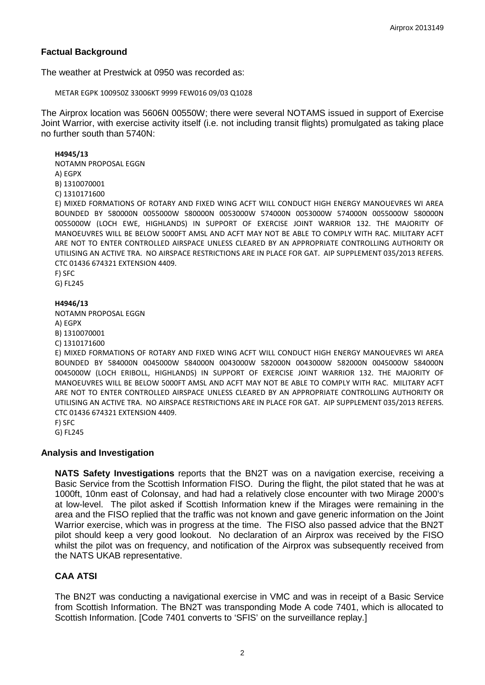## **Factual Background**

The weather at Prestwick at 0950 was recorded as:

METAR EGPK 100950Z 33006KT 9999 FEW016 09/03 Q1028

The Airprox location was 5606N 00550W; there were several NOTAMS issued in support of Exercise Joint Warrior, with exercise activity itself (i.e. not including transit flights) promulgated as taking place no further south than 5740N:

#### **H4945/13**

NOTAMN PROPOSAL EGGN A) EGPX B) 1310070001

C) 1310171600

E) MIXED FORMATIONS OF ROTARY AND FIXED WING ACFT WILL CONDUCT HIGH ENERGY MANOUEVRES WI AREA BOUNDED BY 580000N 0055000W 580000N 0053000W 574000N 0053000W 574000N 0055000W 580000N 0055000W (LOCH EWE, HIGHLANDS) IN SUPPORT OF EXERCISE JOINT WARRIOR 132. THE MAJORITY OF MANOEUVRES WILL BE BELOW 5000FT AMSL AND ACFT MAY NOT BE ABLE TO COMPLY WITH RAC. MILITARY ACFT ARE NOT TO ENTER CONTROLLED AIRSPACE UNLESS CLEARED BY AN APPROPRIATE CONTROLLING AUTHORITY OR UTILISING AN ACTIVE TRA. NO AIRSPACE RESTRICTIONS ARE IN PLACE FOR GAT. AIP SUPPLEMENT 035/2013 REFERS. CTC 01436 674321 EXTENSION 4409.

F) SFC

G) FL245

#### **H4946/13**

NOTAMN PROPOSAL EGGN A) EGPX

B) 1310070001

C) 1310171600

E) MIXED FORMATIONS OF ROTARY AND FIXED WING ACFT WILL CONDUCT HIGH ENERGY MANOUEVRES WI AREA BOUNDED BY 584000N 0045000W 584000N 0043000W 582000N 0043000W 582000N 0045000W 584000N 0045000W (LOCH ERIBOLL, HIGHLANDS) IN SUPPORT OF EXERCISE JOINT WARRIOR 132. THE MAJORITY OF MANOEUVRES WILL BE BELOW 5000FT AMSL AND ACFT MAY NOT BE ABLE TO COMPLY WITH RAC. MILITARY ACFT ARE NOT TO ENTER CONTROLLED AIRSPACE UNLESS CLEARED BY AN APPROPRIATE CONTROLLING AUTHORITY OR UTILISING AN ACTIVE TRA. NO AIRSPACE RESTRICTIONS ARE IN PLACE FOR GAT. AIP SUPPLEMENT 035/2013 REFERS. CTC 01436 674321 EXTENSION 4409.

F) SFC

G) FL245

#### **Analysis and Investigation**

**NATS Safety Investigations** reports that the BN2T was on a navigation exercise, receiving a Basic Service from the Scottish Information FISO. During the flight, the pilot stated that he was at 1000ft, 10nm east of Colonsay, and had had a relatively close encounter with two Mirage 2000's at low-level. The pilot asked if Scottish Information knew if the Mirages were remaining in the area and the FISO replied that the traffic was not known and gave generic information on the Joint Warrior exercise, which was in progress at the time. The FISO also passed advice that the BN2T pilot should keep a very good lookout. No declaration of an Airprox was received by the FISO whilst the pilot was on frequency, and notification of the Airprox was subsequently received from the NATS UKAB representative.

# **CAA ATSI**

The BN2T was conducting a navigational exercise in VMC and was in receipt of a Basic Service from Scottish Information. The BN2T was transponding Mode A code 7401, which is allocated to Scottish Information. [Code 7401 converts to 'SFIS' on the surveillance replay.]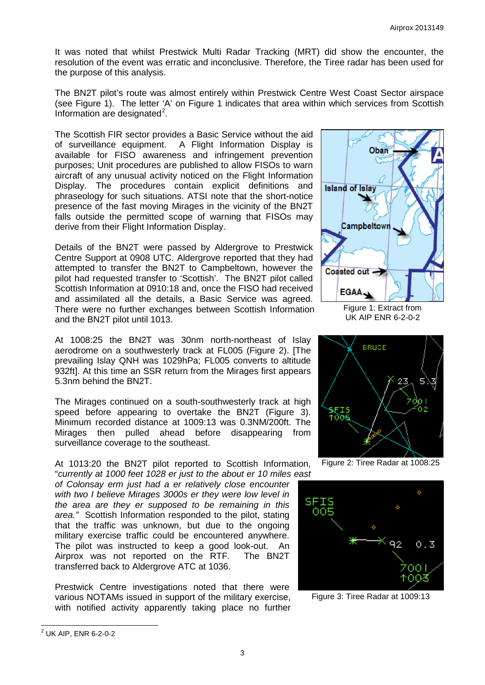It was noted that whilst Prestwick Multi Radar Tracking (MRT) did show the encounter, the resolution of the event was erratic and inconclusive. Therefore, the Tiree radar has been used for the purpose of this analysis.

The BN2T pilot's route was almost entirely within Prestwick Centre West Coast Sector airspace (see Figure 1). The letter 'A' on Figure 1 indicates that area within which services from Scottish Information are designated $2$ .

The Scottish FIR sector provides a Basic Service without the aid of surveillance equipment. A Flight Information Display is available for FISO awareness and infringement prevention purposes; Unit procedures are published to allow FISOs to warn aircraft of any unusual activity noticed on the Flight Information Display. The procedures contain explicit definitions and phraseology for such situations. ATSI note that the short-notice presence of the fast moving Mirages in the vicinity of the BN2T falls outside the permitted scope of warning that FISOs may derive from their Flight Information Display.

Details of the BN2T were passed by Aldergrove to Prestwick Centre Support at 0908 UTC. Aldergrove reported that they had attempted to transfer the BN2T to Campbeltown, however the pilot had requested transfer to 'Scottish'. The BN2T pilot called Scottish Information at 0910:18 and, once the FISO had received and assimilated all the details, a Basic Service was agreed. There were no further exchanges between Scottish Information and the BN2T pilot until 1013.

At 1008:25 the BN2T was 30nm north-northeast of Islay aerodrome on a southwesterly track at FL005 (Figure 2). [The prevailing Islay QNH was 1029hPa; FL005 converts to altitude 932ft]. At this time an SSR return from the Mirages first appears 5.3nm behind the BN2T.

The Mirages continued on a south-southwesterly track at high speed before appearing to overtake the BN2T (Figure 3). Minimum recorded distance at 1009:13 was 0.3NM/200ft. The Mirages then pulled ahead before disappearing from surveillance coverage to the southeast.

At 1013:20 the BN2T pilot reported to Scottish Information, "*currently at 1000 feet 1028 er just to the about er 10 miles east* 

*of Colonsay erm just had a er relatively close encounter with two I believe Mirages 3000s er they were low level in the area are they er supposed to be remaining in this area."* Scottish Information responded to the pilot, stating that the traffic was unknown, but due to the ongoing military exercise traffic could be encountered anywhere. The pilot was instructed to keep a good look-out. An Airprox was not reported on the RTF. The BN2T transferred back to Aldergrove ATC at 1036.

Prestwick Centre investigations noted that there were various NOTAMs issued in support of the military exercise, with notified activity apparently taking place no further



Figure 1: Extract from UK AIP ENR 6-2-0-2



Figure 2: Tiree Radar at 1008:25



Figure 3: Tiree Radar at 1009:13

<span id="page-2-0"></span><sup>2</sup> UK AIP, ENR 6-2-0-2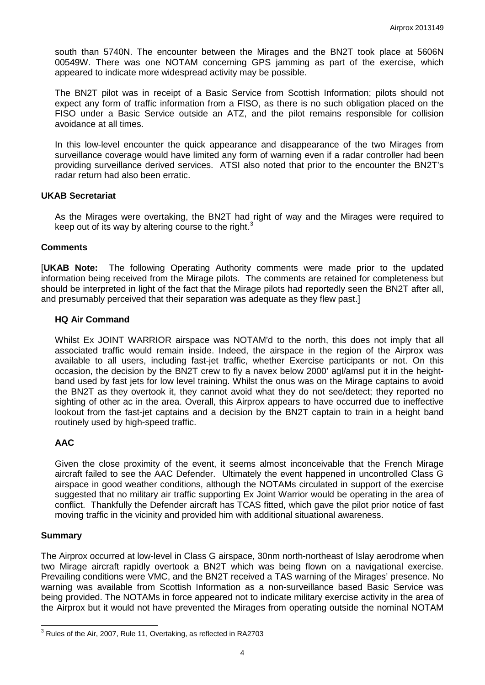south than 5740N. The encounter between the Mirages and the BN2T took place at 5606N 00549W. There was one NOTAM concerning GPS jamming as part of the exercise, which appeared to indicate more widespread activity may be possible.

The BN2T pilot was in receipt of a Basic Service from Scottish Information; pilots should not expect any form of traffic information from a FISO, as there is no such obligation placed on the FISO under a Basic Service outside an ATZ, and the pilot remains responsible for collision avoidance at all times.

In this low-level encounter the quick appearance and disappearance of the two Mirages from surveillance coverage would have limited any form of warning even if a radar controller had been providing surveillance derived services. ATSI also noted that prior to the encounter the BN2T's radar return had also been erratic.

## **UKAB Secretariat**

As the Mirages were overtaking, the BN2T had right of way and the Mirages were required to keep out of its way by altering course to the right.<sup>[3](#page-3-0)</sup>

### **Comments**

[**UKAB Note:** The following Operating Authority comments were made prior to the updated information being received from the Mirage pilots. The comments are retained for completeness but should be interpreted in light of the fact that the Mirage pilots had reportedly seen the BN2T after all, and presumably perceived that their separation was adequate as they flew past.]

### **HQ Air Command**

Whilst Ex JOINT WARRIOR airspace was NOTAM'd to the north, this does not imply that all associated traffic would remain inside. Indeed, the airspace in the region of the Airprox was available to all users, including fast-jet traffic, whether Exercise participants or not. On this occasion, the decision by the BN2T crew to fly a navex below 2000' agl/amsl put it in the heightband used by fast jets for low level training. Whilst the onus was on the Mirage captains to avoid the BN2T as they overtook it, they cannot avoid what they do not see/detect; they reported no sighting of other ac in the area. Overall, this Airprox appears to have occurred due to ineffective lookout from the fast-jet captains and a decision by the BN2T captain to train in a height band routinely used by high-speed traffic.

## **AAC**

Given the close proximity of the event, it seems almost inconceivable that the French Mirage aircraft failed to see the AAC Defender. Ultimately the event happened in uncontrolled Class G airspace in good weather conditions, although the NOTAMs circulated in support of the exercise suggested that no military air traffic supporting Ex Joint Warrior would be operating in the area of conflict. Thankfully the Defender aircraft has TCAS fitted, which gave the pilot prior notice of fast moving traffic in the vicinity and provided him with additional situational awareness.

#### **Summary**

The Airprox occurred at low-level in Class G airspace, 30nm north-northeast of Islay aerodrome when two Mirage aircraft rapidly overtook a BN2T which was being flown on a navigational exercise. Prevailing conditions were VMC, and the BN2T received a TAS warning of the Mirages' presence. No warning was available from Scottish Information as a non-surveillance based Basic Service was being provided. The NOTAMs in force appeared not to indicate military exercise activity in the area of the Airprox but it would not have prevented the Mirages from operating outside the nominal NOTAM

<span id="page-3-0"></span><sup>&</sup>lt;sup>3</sup> Rules of the Air, 2007, Rule 11, Overtaking, as reflected in RA2703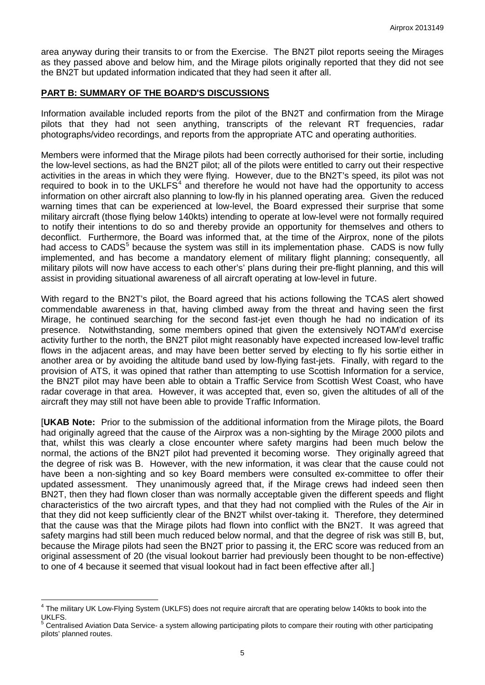area anyway during their transits to or from the Exercise. The BN2T pilot reports seeing the Mirages as they passed above and below him, and the Mirage pilots originally reported that they did not see the BN2T but updated information indicated that they had seen it after all.

### **PART B: SUMMARY OF THE BOARD'S DISCUSSIONS**

Information available included reports from the pilot of the BN2T and confirmation from the Mirage pilots that they had not seen anything, transcripts of the relevant RT frequencies, radar photographs/video recordings, and reports from the appropriate ATC and operating authorities.

Members were informed that the Mirage pilots had been correctly authorised for their sortie, including the low-level sections, as had the BN2T pilot; all of the pilots were entitled to carry out their respective activities in the areas in which they were flying. However, due to the BN2T's speed, its pilot was not required to book in to the UKLFS $4$  and therefore he would not have had the opportunity to access information on other aircraft also planning to low-fly in his planned operating area. Given the reduced warning times that can be experienced at low-level, the Board expressed their surprise that some military aircraft (those flying below 140kts) intending to operate at low-level were not formally required to notify their intentions to do so and thereby provide an opportunity for themselves and others to deconflict. Furthermore, the Board was informed that, at the time of the Airprox, none of the pilots had access to CADS<sup>[5](#page-4-1)</sup> because the system was still in its implementation phase. CADS is now fully implemented, and has become a mandatory element of military flight planning; consequently, all military pilots will now have access to each other's' plans during their pre-flight planning, and this will assist in providing situational awareness of all aircraft operating at low-level in future.

With regard to the BN2T's pilot, the Board agreed that his actions following the TCAS alert showed commendable awareness in that, having climbed away from the threat and having seen the first Mirage, he continued searching for the second fast-jet even though he had no indication of its presence. Notwithstanding, some members opined that given the extensively NOTAM'd exercise activity further to the north, the BN2T pilot might reasonably have expected increased low-level traffic flows in the adjacent areas, and may have been better served by electing to fly his sortie either in another area or by avoiding the altitude band used by low-flying fast-jets. Finally, with regard to the provision of ATS, it was opined that rather than attempting to use Scottish Information for a service, the BN2T pilot may have been able to obtain a Traffic Service from Scottish West Coast, who have radar coverage in that area. However, it was accepted that, even so, given the altitudes of all of the aircraft they may still not have been able to provide Traffic Information.

[**UKAB Note:** Prior to the submission of the additional information from the Mirage pilots, the Board had originally agreed that the cause of the Airprox was a non-sighting by the Mirage 2000 pilots and that, whilst this was clearly a close encounter where safety margins had been much below the normal, the actions of the BN2T pilot had prevented it becoming worse. They originally agreed that the degree of risk was B. However, with the new information, it was clear that the cause could not have been a non-sighting and so key Board members were consulted ex-committee to offer their updated assessment. They unanimously agreed that, if the Mirage crews had indeed seen then BN2T, then they had flown closer than was normally acceptable given the different speeds and flight characteristics of the two aircraft types, and that they had not complied with the Rules of the Air in that they did not keep sufficiently clear of the BN2T whilst over-taking it. Therefore, they determined that the cause was that the Mirage pilots had flown into conflict with the BN2T. It was agreed that safety margins had still been much reduced below normal, and that the degree of risk was still B, but, because the Mirage pilots had seen the BN2T prior to passing it, the ERC score was reduced from an original assessment of 20 (the visual lookout barrier had previously been thought to be non-effective) to one of 4 because it seemed that visual lookout had in fact been effective after all.]

<span id="page-4-0"></span><sup>&</sup>lt;sup>4</sup> The military UK Low-Flying System (UKLFS) does not require aircraft that are operating below 140kts to book into the UKLFS.

<span id="page-4-1"></span><sup>5</sup> Centralised Aviation Data Service- a system allowing participating pilots to compare their routing with other participating pilots' planned routes.